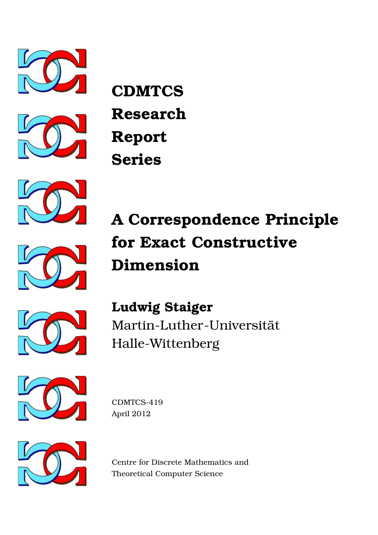



**CDMTCS Research Report Series**



# **A Correspondence Principle for Exact Constructive Dimension**



**Ludwig Staiger** Martin-Luther-Universität Halle-Wittenberg



CDMTCS-419 April 2012



Centre for Discrete Mathematics and Theoretical Computer Science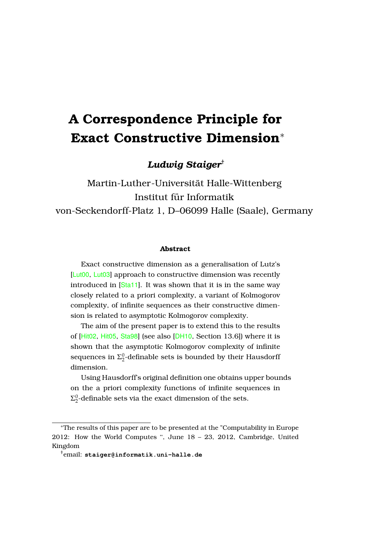# **A Correspondence Principle for Exact Constructive Dimension**<sup>∗</sup>

*Ludwig Staiger*†

Martin-Luther-Universitat Halle-Wittenberg ¨ Institut für Informatik von-Seckendorff-Platz 1, D–06099 Halle (Saale), Germany

#### **Abstract**

Exact constructive dimension as a generalisation of Lutz's [[Lut00](#page-15-0), [Lut03](#page-15-1)] approach to constructive dimension was recently introduced in [[Sta11](#page-16-0)]. It was shown that it is in the same way closely related to a priori complexity, a variant of Kolmogorov complexity, of infinite sequences as their constructive dimension is related to asymptotic Kolmogorov complexity.

The aim of the present paper is to extend this to the results of [[Hit02](#page-14-0), [Hit05](#page-15-2), [Sta98](#page-16-1)] (see also [[DH10](#page-14-1), Section 13.6]) where it is shown that the asymptotic Kolmogorov complexity of infinite sequences in  $\Sigma^0_2$ -definable sets is bounded by their Hausdorff dimension.

Using Hausdorff's original definition one obtains upper bounds on the a priori complexity functions of infinite sequences in  $\Sigma^0_2$ -definable sets via the exact dimension of the sets.

<sup>∗</sup>The results of this paper are to be presented at the "Computability in Europe 2012: How the World Computes '', June 18 – 23, 2012, Cambridge, United Kingdom

<sup>†</sup>email: **staiger@informatik.uni-halle.de**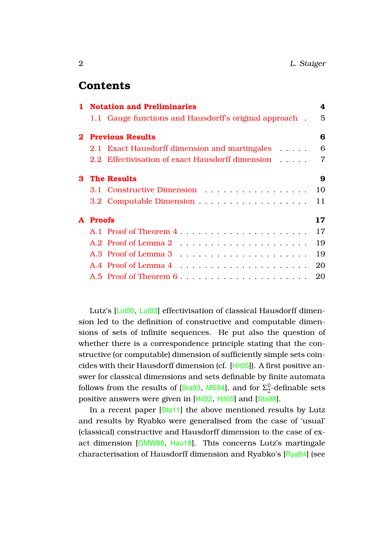# **Contents**

|   | 1 Notation and Preliminaries                           | 4  |
|---|--------------------------------------------------------|----|
|   | 1.1 Gauge functions and Hausdorff's original approach. | 5  |
|   | <b>Previous Results</b>                                | 6  |
|   | 2.1 Exact Hausdorff dimension and martingales          | 6  |
|   | 2.2 Effectivisation of exact Hausdorff dimension       | 7  |
| 3 | <b>The Results</b>                                     | 9  |
|   | 3.1 Constructive Dimension                             | 10 |
|   |                                                        | 11 |
| A | <b>Proofs</b>                                          | 17 |
|   | A.1 Proof of Theorem 4                                 | 17 |
|   |                                                        | 19 |
|   |                                                        | 19 |
|   |                                                        | 20 |
|   | A.5 Proof of Theorem 6                                 | 20 |

Lutz's [[Lut00](#page-15-0), [Lut03](#page-15-1)] effectivisation of classical Hausdorff dimension led to the definition of constructive and computable dimensions of sets of infinite sequences. He put also the question of whether there is a correspondence principle stating that the constructive (or computable) dimension of sufficiently simple sets coincides with their Hausdorff dimension (cf. [[Hit05](#page-15-2)]). A first positive answer for classical dimensions and sets definable by finite automata follows from the results of [[Sta93](#page-15-3), [MS94](#page-15-4)], and for  $\Sigma^0_2$  $\frac{0}{2}$ -definable sets positive answers were given in [[Hit02](#page-14-0), [Hit05](#page-15-2)] and [[Sta98](#page-16-1)].

In a recent paper [[Sta11](#page-16-0)] the above mentioned results by Lutz and results by Ryabko were generalised from the case of 'usual' (classical) constructive and Hausdorff dimension to the case of exact dimension [[GMW88](#page-14-2), [Hau18](#page-14-3)]. This concerns Lutz's martingale characterisation of Hausdorff dimension and Ryabko's [[Rya84](#page-15-5)] (see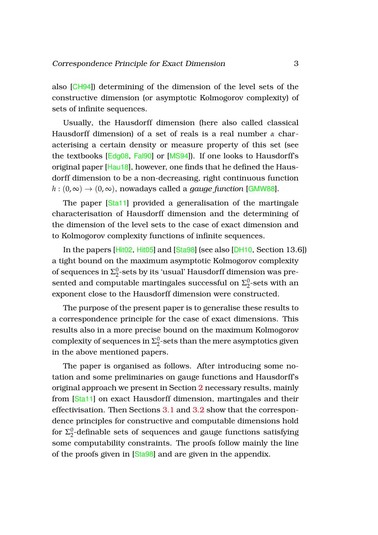also [[CH94](#page-14-4)]) determining of the dimension of the level sets of the constructive dimension (or asymptotic Kolmogorov complexity) of sets of infinite sequences.

Usually, the Hausdorff dimension (here also called classical Hausdorff dimension) of a set of reals is a real number *α* characterising a certain density or measure property of this set (see the textbooks [[Edg08](#page-14-5), [Fal90](#page-14-6)] or [[MS94](#page-15-4)]). If one looks to Hausdorff's original paper [[Hau18](#page-14-3)], however, one finds that he defined the Hausdorff dimension to be a non-decreasing, right continuous function  $h : (0, \infty) \to (0, \infty)$ , nowadays called a *gauge function* [[GMW88](#page-14-2)].

The paper [[Sta11](#page-16-0)] provided a generalisation of the martingale characterisation of Hausdorff dimension and the determining of the dimension of the level sets to the case of exact dimension and to Kolmogorov complexity functions of infinite sequences.

In the papers [[Hit02](#page-14-0), [Hit05](#page-15-2)] and [[Sta98](#page-16-1)] (see also [[DH10](#page-14-1), Section 13.6]) a tight bound on the maximum asymptotic Kolmogorov complexity of sequences in  $\Sigma^0_2$  $\frac{0}{2}$ -sets by its 'usual' Hausdorff dimension was presented and computable martingales successful on  $\Sigma^0_2$  $2^0$ -sets with an exponent close to the Hausdorff dimension were constructed.

The purpose of the present paper is to generalise these results to a correspondence principle for the case of exact dimensions. This results also in a more precise bound on the maximum Kolmogorov complexity of sequences in  $\Sigma^0_2$  $2^0$ -sets than the mere asymptotics given in the above mentioned papers.

The paper is organised as follows. After introducing some notation and some preliminaries on gauge functions and Hausdorff's original approach we present in Section [2](#page-6-0) necessary results, mainly from [[Sta11](#page-16-0)] on exact Hausdorff dimension, martingales and their effectivisation. Then Sections [3.1](#page-10-0) and [3.2](#page-11-0) show that the correspondence principles for constructive and computable dimensions hold for  $\Sigma^0_2$  $\frac{0}{2}$ -definable sets of sequences and gauge functions satisfying some computability constraints. The proofs follow mainly the line of the proofs given in [[Sta98](#page-16-1)] and are given in the appendix.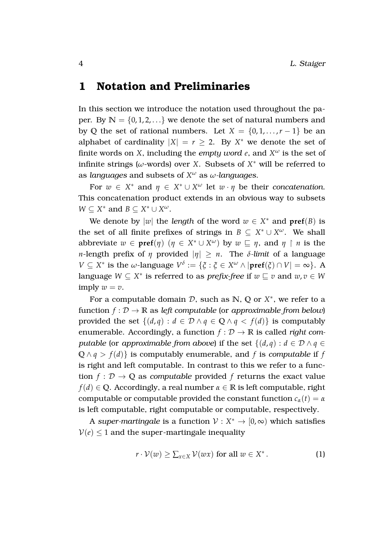# <span id="page-4-0"></span>**1 Notation and Preliminaries**

In this section we introduce the notation used throughout the paper. By  $N = \{0, 1, 2, ...\}$  we denote the set of natural numbers and by Q the set of rational numbers. Let  $X = \{0, 1, \ldots, r - 1\}$  be an alphabet of cardinality  $|X| = r \geq 2$ . By  $X^*$  we denote the set of finite words on *X*, including the *empty word e*, and *X <sup>ω</sup>* is the set of infinite strings ( $\omega$ -words) over *X*. Subsets of  $X^*$  will be referred to as *languages* and subsets of *X <sup>ω</sup>* as *ω-languages*.

For  $w \in X^*$  and  $\eta \in X^* \cup X^{\omega}$  let  $w \cdot \eta$  be their *concatenation*. This concatenation product extends in an obvious way to subsets  $W \subseteq X^*$  and  $B \subseteq X^* \cup X^{\omega}$ .

We denote by  $|w|$  the *length* of the word  $w \in X^*$  and  $pref(B)$  is the set of all finite prefixes of strings in  $B \subseteq X^* \cup X^{\omega}$ . We shall abbreviate  $w \in \text{pref}(\eta)$   $(\eta \in X^* \cup X^{\omega})$  by  $w \subseteq \eta$ , and  $\eta \restriction n$  is the *n*-length prefix of *η* provided  $|n| > n$ . The *δ*-limit of a language *V*  $\subseteq$  *X*<sup>\*</sup> is the *ω*-language  $V^{\delta} := \{ \xi : \xi \in X^{\omega} \wedge |\textbf{pref}(\xi) \cap V| = \infty \}.$  A language  $W \subseteq X^*$  is referred to as *prefix-free* if  $w \sqsubseteq v$  and  $w, v \in W$ imply  $w = v$ .

For a computable domain  $D$ , such as  $N$ ,  $Q$  or  $X^*$ , we refer to a function  $f: \mathcal{D} \to \mathbb{R}$  as *left computable* (or *approximable from below*) provided the set  $\{(d, q) : d \in \mathcal{D} \land q \in \mathbb{Q} \land q < f(d)\}$  is computably enumerable. Accordingly, a function  $f : \mathcal{D} \to \mathbb{R}$  is called *right computable* (or *approximable* from *above*) if the set  $\{(d, q) : d \in \mathcal{D} \land q \in \mathcal{D}\}$  $Q \wedge q > f(d)$  is computably enumerable, and *f* is *computable* if *f* is right and left computable. In contrast to this we refer to a function  $f: \mathcal{D} \to \mathbb{Q}$  as *computable* provided *f* returns the exact value *f*(*d*)  $\in$  **Q**. Accordingly, a real number  $\alpha \in \mathbb{R}$  is left computable, right computable or computable provided the constant function  $c_\alpha(t) = \alpha$ is left computable, right computable or computable, respectively.

A super-martingale is a function  $\mathcal{V}: X^* \to [0,\infty)$  which satisfies  $V(e)$  < 1 and the super-martingale inequality

<span id="page-4-1"></span>
$$
r \cdot \mathcal{V}(w) \ge \sum_{x \in X} \mathcal{V}(wx) \text{ for all } w \in X^*.
$$
 (1)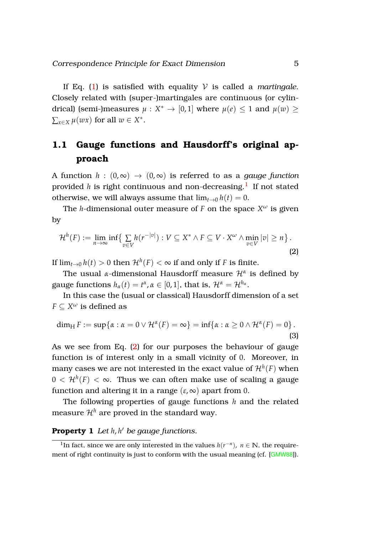If Eq.  $(1)$  is satisfied with equality  $V$  is called a *martingale*. Closely related with (super-)martingales are continuous (or cylindrical) (semi-)measures  $\mu : X^* \to [0,1]$  where  $\mu(e) \leq 1$  and  $\mu(w) \geq$  $\sum_{x \in X} \mu(wx)$  for all  $w \in X^*$ .

# <span id="page-5-0"></span>**1.1 Gauge functions and Hausdorff's original approach**

A function  $h : (0, \infty) \to (0, \infty)$  is referred to as a *gauge function* provided  $h$  is right continuous and non-decreasing. $^{\mathrm{l}}\,$  If not stated otherwise, we will always assume that  $\lim_{t\to 0} h(t) = 0$ .

The *h*-dimensional outer measure of  $F$  on the space  $X^\omega$  is given by

<span id="page-5-2"></span>
$$
\mathcal{H}^{h}(F) := \lim_{n \to \infty} \inf \{ \sum_{v \in V} h(r^{-|v|}) : V \subseteq X^* \wedge F \subseteq V \cdot X^{\omega} \wedge \min_{v \in V} |v| \ge n \}.
$$
\n(2)

If  $\lim_{t\to 0}h(t)>0$  then  $\mathcal{H}^h(F)<\infty$  if and only if  $F$  is finite.

The usual *α*-dimensional Hausdorff measure H*<sup>α</sup>* is defined by gauge functions  $h_\alpha(t) = t^\alpha$ ,  $\alpha \in [0,1]$ , that is,  $\mathcal{H}^\alpha = \mathcal{H}^{h_\alpha}$ .

In this case the (usual or classical) Hausdorff dimension of a set  $F \subseteq X^\omega$  is defined as

<span id="page-5-4"></span>
$$
\dim_{\mathrm{H}} F := \sup \{ \alpha : \alpha = 0 \vee \mathcal{H}^{\alpha}(F) = \infty \} = \inf \{ \alpha : \alpha \ge 0 \wedge \mathcal{H}^{\alpha}(F) = 0 \}.
$$
\n(3)

As we see from Eq. [\(2\)](#page-5-2) for our purposes the behaviour of gauge function is of interest only in a small vicinity of 0. Moreover, in many cases we are not interested in the exact value of  $\mathcal{H}^h(F)$  when  $0<\mathcal{H}^{h}(F)<\infty.$  Thus we can often make use of scaling a gauge function and altering it in a range  $(\varepsilon, \infty)$  apart from 0.

<span id="page-5-3"></span>The following properties of gauge functions *h* and the related measure  $\mathcal{H}^h$  are proved in the standard way.

### **Property 1** *Let h*, *h* <sup>0</sup> *be gauge functions.*

<span id="page-5-1"></span><sup>&</sup>lt;sup>1</sup>In fact, since we are only interested in the values  $h(r^{-n})$ ,  $n \in \mathbb{N}$ , the require-ment of right continuity is just to conform with the usual meaning (cf. [[GMW88](#page-14-2)]).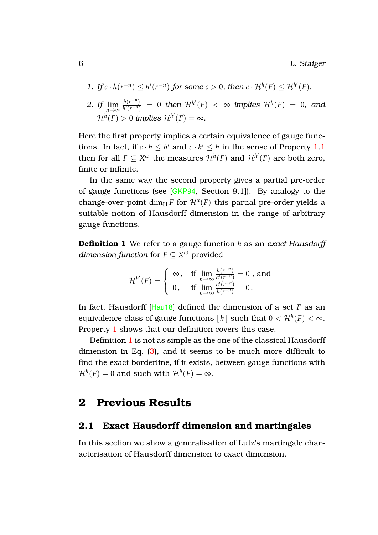6 L. Staiger

<span id="page-6-2"></span>1. If 
$$
c \cdot h(r^{-n}) \leq h'(r^{-n})
$$
 for some  $c > 0$ , then  $c \cdot \mathcal{H}^h(F) \leq \mathcal{H}^{h'}(F)$ .

2. If 
$$
\lim_{n \to \infty} \frac{h(r^{-n})}{h'(r^{-n})} = 0
$$
 then  $\mathcal{H}^{h'}(F) < \infty$  implies  $\mathcal{H}^{h}(F) = 0$ , and  $\mathcal{H}^{h}(F) > 0$  implies  $\mathcal{H}^{h'}(F) = \infty$ .

Here the first property implies a certain equivalence of gauge functions. In fact, if  $c \cdot h \leq h'$  and  $c \cdot h' \leq h$  in the sense of Property [1](#page-5-3)[.1](#page-6-2) then for all  $F \subseteq X^\omega$  the measures  $\mathcal{H}^h(F)$  and  $\mathcal{H}^{h'}(F)$  are both zero, finite or infinite.

In the same way the second property gives a partial pre-order of gauge functions (see [[GKP94](#page-14-7), Section 9.1]). By analogy to the change-over-point dim<sub>H</sub> *F* for  $\mathcal{H}^{\alpha}(F)$  this partial pre-order yields a suitable notion of Hausdorff dimension in the range of arbitrary gauge functions.

**Definition 1** We refer to a gauge function *h* as an *exact Hausdorff dimension function* for  $F \subseteq X^\omega$  provided

<span id="page-6-3"></span>
$$
\mathcal{H}^{h'}(F)=\left\{\begin{array}{ll} \infty\,,& \text{if}\,\,\lim\limits_{n\to\infty}\frac{h(r^{-n})}{h'(r^{-n})}=0\,\,,\,\text{and} \\ 0\,,& \text{if}\,\,\lim\limits_{n\to\infty}\frac{h'(r^{-n})}{h(r^{-n})}=0\,. \end{array}\right.
$$

In fact, Hausdorff [[Hau18](#page-14-3)] defined the dimension of a set *F* as an equivalence class of gauge functions  $[\,h\,]$  such that  $0<{\mathcal H}^h(F)<\infty.$ Property [1](#page-5-3) shows that our definition covers this case.

Definition [1](#page-6-3) is not as simple as the one of the classical Hausdorff dimension in Eq. [\(3\)](#page-5-4), and it seems to be much more difficult to find the exact borderline, if it exists, between gauge functions with  $\mathcal{H}^{h}(F)=0$  and such with  $\mathcal{H}^{h}(F)=\infty.$ 

# <span id="page-6-0"></span>**2 Previous Results**

#### <span id="page-6-1"></span>**2.1 Exact Hausdorff dimension and martingales**

In this section we show a generalisation of Lutz's martingale characterisation of Hausdorff dimension to exact dimension.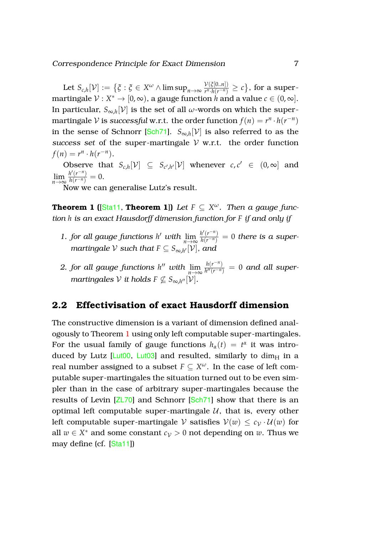Let  $S_{c,h}[\mathcal{V}] := \big\{ \xi : \xi \in X^\omega \wedge \limsup_{n \to \infty} \frac{\mathcal{V}(\xi[0..n])}{r^n.h(r^{-n})} \big\}$  $\frac{V(\xi[0..n])}{r^n \cdot h(r^{-n})}$  ≥ *c*}, for a supermartingale  $\mathcal{V}:X^*\to [0,\infty),$  a gauge function  $h$  and a value  $c\in (0,\infty].$ In particular,  $S_{\infty,h}[\mathcal{V}]$  is the set of all  $\omega$ -words on which the supermartingale  $V$  is *successful* w.r.t. the order function  $f(n) = r^n \cdot h(r^{-n})$ in the sense of Schnorr [[Sch71](#page-15-6)].  $S_{\infty,h}[\mathcal{V}]$  is also referred to as the *success set* of the super-martingale  $V$  w.r.t. the order function  $f(n) = r^n \cdot h(r^{-n}).$ 

Observe that  $S_{c,h}[\mathcal{V}] \subseteq S_{c',h'}[\mathcal{V}]$  whenever  $c, c' \in (0,\infty]$  and  $\lim_{n \to \infty} \frac{h'(r^{-n})}{h(r^{-n})} = 0.$ 

<span id="page-7-1"></span>Now we can generalise Lutz's result.

**Theorem 1 ([[Sta11](#page-16-0), Theorem 1])** Let  $F \subseteq X^\omega$ . Then a gauge func*tion h is an exact Hausdorff dimension function for F if and only if*

- *1. for all gauge functions h' with*  $\lim_{n\to\infty} \frac{h'(r^{-n})}{h(r^{-n})} = 0$  *there is a supermartingale*  $\mathcal V$  *such that*  $F \subseteq S_{\infty,h'}[\mathcal V]$ *, and*
- 2. *for all gauge functions h*<sup>*n*</sup> *with*  $\lim_{n\to\infty} \frac{h(r^{-n})}{h''(r^{-n})}$  $\frac{n(r - r)}{h''(r - n)} = 0$  and all super- $\emph{martingales}$   $\mathcal V$  *it holds*  $F \not\subseteq S_{\infty,h''}[\mathcal V].$

#### <span id="page-7-0"></span>**2.2 Effectivisation of exact Hausdorff dimension**

<span id="page-7-2"></span>The constructive dimension is a variant of dimension defined analogously to Theorem [1](#page-7-1) using only left computable super-martingales. For the usual family of gauge functions  $h_\alpha(t) = t^\alpha$  it was introduced by Lutz [ $Lut00$ ,  $Lut03$ ] and resulted, similarly to dim $_H$  in a real number assigned to a subset  $F \subseteq X^\omega$ . In the case of left computable super-martingales the situation turned out to be even simpler than in the case of arbitrary super-martingales because the results of Levin [[ZL70](#page-16-2)] and Schnorr [[Sch71](#page-15-6)] show that there is an optimal left computable super-martingale  $U$ , that is, every other left computable super-martingale V satisfies  $V(w) \leq c_V \cdot U(w)$  for all  $w \in X^*$  and some constant  $c_V > 0$  not depending on  $w$ . Thus we may define (cf. [[Sta11](#page-16-0)])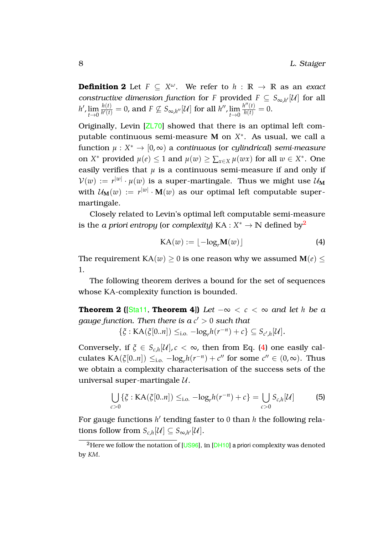**Definition 2** Let  $F \subseteq X^\omega$ . We refer to  $h : \mathbb{R} \to \mathbb{R}$  as an *exact constructive dimension function* for *F* provided  $F \subseteq S_{\infty,h'}[U]$  for all  $h'$ ,  $\lim_{t\to 0}$ *h*(*t*)  $\frac{h(t)}{h'(t)} = 0$ , and  $F \nsubseteq S_{\infty,h''}[U]$  for all  $h''$ ,  $\lim_{t \to 0}$  $\frac{h''(t)}{h(t)} = 0.$ 

Originally, Levin [[ZL70](#page-16-2)] showed that there is an optimal left computable continuous semi-measure **M** on *X* ∗ . As usual, we call a  $function \mu : X^* \to [0, \infty)$  a *continuous* (or *cylindrical*) *semi-measure* on *X*<sup>\*</sup> provided  $\mu(e) \le 1$  and  $\mu(w) \ge \sum_{x \in X} \mu(wx)$  for all  $w \in X^*$ . One easily verifies that  $\mu$  is a continuous semi-measure if and only if  $\mathcal{V}(w) := r^{|w|} \cdot \mu(w)$  is a super-martingale. Thus we might use  $\mathcal{U}_\mathbf{M}$ with  $\mathcal{U}_{\mathbf{M}}(w) := r^{|w|} \cdot \mathbf{M}(w)$  as our optimal left computable supermartingale.

Closely related to Levin's optimal left computable semi-measure is the *a priori entropy* (or *complexity*) KA :  $X^* \to \mathbb{N}$  defined by $^2$  $^2$ 

<span id="page-8-1"></span>
$$
KA(w) := \lfloor -\log_r M(w) \rfloor \tag{4}
$$

The requirement  $KA(w) \geq 0$  is one reason why we assumed  $M(e)$  < 1.

The following theorem derives a bound for the set of sequences whose KA-complexity function is bounded.

**Theorem 2 (** $[Stat1$ , **Theorem 4**)) *Let*  $-\infty < c < \infty$  *and let h be a gauge function. Then there is a c* <sup>0</sup> > 0 *such that*

 $\{\xi : KA(\xi[0..n]) \leq_{i.o.} -log_r h(r^{-n}) + c\} \subseteq S_{c',h}[\mathcal{U}].$ 

Conversely, if  $\xi \in S_{c,h}[\mathcal{U}]$ ,  $c < \infty$ , then from Eq. [\(4\)](#page-8-1) one easily calculates  $KA(\xi[0..n]) \leq_{i.o.} -log_r h(r^{-n}) + c''$  for some  $c'' \in (0, \infty)$ . Thus we obtain a complexity characterisation of the success sets of the universal super-martingale  $U$ .

<span id="page-8-3"></span><span id="page-8-2"></span>
$$
\bigcup_{c>0} \{\xi : KA(\xi[0..n]) \leq_{i.o.} -\log_r h(r^{-n}) + c\} = \bigcup_{c>0} S_{c,h}[\mathcal{U}]
$$
 (5)

For gauge functions *h'* tending faster to 0 than *h* the following relations follow from  $S_{c,h}[\mathcal{U}] \subseteq S_{\infty,h'}[\mathcal{U}].$ 

<span id="page-8-0"></span> $2$ Here we follow the notation of [[US96](#page-16-3)], in [[DH10](#page-14-1)] a priori complexity was denoted by *KM*.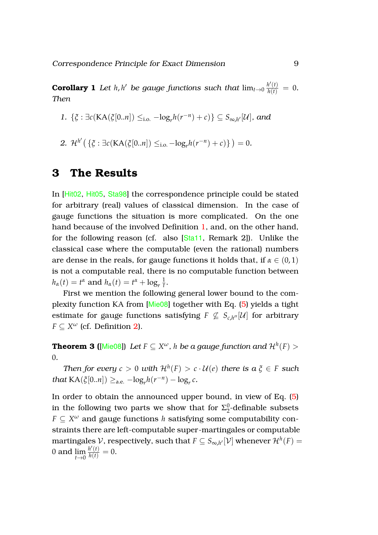**Corollary 1** Let  $h$ ,  $h'$  be gauge functions such that  $\lim_{t\to 0} \frac{h'(t)}{h(t)} = 0$ . *Then*

- *1.* { $\xi$  : ∃ $c(KA(\xi[0..n]) \leq_{i.o.} -log_r h(r^{-n}) + c)$ } ⊆  $S_{\infty,h'}[\mathcal{U}]$ *, and*
- 2.  $\mathcal{H}^{h'}\left(\{\xi : \exists c(\text{KA}(\xi[0..n]) \leq_{i.o.} -\log_r h(r^{-n}) + c)\}\right) = 0.$

# <span id="page-9-0"></span>**3 The Results**

In [[Hit02](#page-14-0), [Hit05](#page-15-2), [Sta98](#page-16-1)] the correspondence principle could be stated for arbitrary (real) values of classical dimension. In the case of gauge functions the situation is more complicated. On the one hand because of the involved Definition [1,](#page-6-3) and, on the other hand, for the following reason (cf. also [[Sta11](#page-16-0), Remark 2]). Unlike the classical case where the computable (even the rational) numbers are dense in the reals, for gauge functions it holds that, if  $\alpha \in (0,1)$ is not a computable real, there is no computable function between  $h_{\alpha}(t) = t^{\alpha}$  and  $h_{\alpha}(t) = t^{\alpha} + \log_{r} \frac{1}{t}$ *t* .

First we mention the following general lower bound to the complexity function KA from [[Mie08](#page-15-7)] together with Eq. [\(5\)](#page-8-2) yields a tight estimate for gauge functions satisfying  $F \not\subseteq S_{c,h''}[\mathcal{U}]$  for arbitrary  $F \subseteq X^{\omega}$  (cf. Definition [2\)](#page-7-2).

<code>Theorem 3 ([[Mie08](#page-15-7)])</code> Let  $F \subseteq X^\omega$  ,  $h$  be a gauge function and  $\mathcal{H}^h(F) > 0$ 0*.*

*Then for every*  $c > 0$  *with*  $\mathcal{H}^h(F) > c \cdot \mathcal{U}(e)$  *there is*  $a \xi \in F$  *such that*  $\text{KA}(\xi[0..n]) \geq_{\text{a.e.}} -\log_r h(r^{-n}) - \log_r c$ .

In order to obtain the announced upper bound, in view of Eq. [\(5\)](#page-8-2) in the following two parts we show that for  $\Sigma^0_2$  $\frac{0}{2}$ -definable subsets  $F \subseteq X^\omega$  and gauge functions  $h$  satisfying some computability constraints there are left-computable super-martingales or computable martingales  $\mathcal V$ , respectively, such that  $F\subseteq S_{\infty,h'}[\mathcal V]$  whenever  $\mathcal H^h(F)=$ 0 and lim *t*→0  $\frac{h'(t)}{h(t)} = 0.$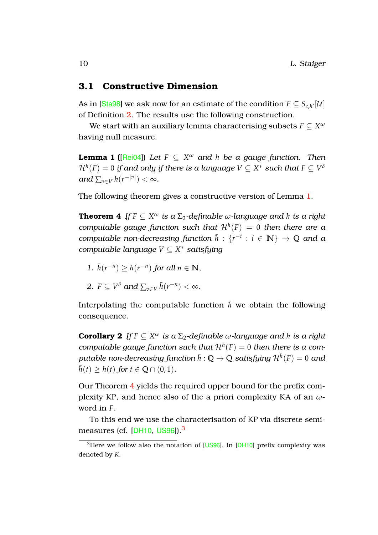#### <span id="page-10-0"></span>**3.1 Constructive Dimension**

As in [[Sta98](#page-16-1)] we ask now for an estimate of the condition  $F\subseteq S_{c,h'}[\mathcal{U}]$ of Definition [2.](#page-7-2) The results use the following construction.

<span id="page-10-2"></span>We start with an auxiliary lemma characterising subsets  $F \subseteq X^\omega$ having null measure.

**Lemma 1 (**[[Rei04](#page-15-8)]) *Let F* ⊆ *X <sup>ω</sup> and h be a gauge function. Then*  $\mathcal{H}^h(F)=0$  if and only if there is a language  $V\subseteq X^*$  such that  $F\subseteq V^\delta$  $and \sum_{v \in V} h(r^{-|v|}) < \infty$ .

<span id="page-10-1"></span>The following theorem gives a constructive version of Lemma [1.](#page-10-2)

**Theorem 4** If  $F \subseteq X^\omega$  is a  $\Sigma_2$ -definable  $\omega$ -language and  $h$  is a right *computable gauge function such that*  $\mathcal{H}^h(F) = 0$  *then there are a computable non-decreasing function*  $\bar{h}: \{r^{-i} : i \in \mathbb{N}\} \to \mathbb{Q}$  *and a computable language V* ⊆ *X* <sup>∗</sup> *satisfying*

*1.*  $\bar{h}(r^{-n})$  ≥  $h(r^{-n})$  for all  $n \in \mathbb{N}$ ,

2. 
$$
F \subseteq V^{\delta}
$$
 and  $\sum_{v \in V} \bar{h}(r^{-n}) < \infty$ .

Interpolating the computable function  $\bar{h}$  we obtain the following consequence.

**Corollary 2** If  $F \subseteq X^{\omega}$  is a  $\Sigma_2$ -definable  $\omega$ -language and *h* is a right *computable gauge function such that*  $\mathcal{H}^h(F) = 0$  *then there is a com* $p$ utable non-decreasing function  $\bar{h}:\mathbb{Q}\to\mathbb{Q}$  satisfying  $\mathcal{H}^{\bar{h}}(F)=0$  and  $\bar{h}(t) > h(t)$  for  $t \in \mathbb{Q} \cap (0,1)$ .

Our Theorem [4](#page-10-1) yields the required upper bound for the prefix complexity KP, and hence also of the a priori complexity KA of an *ω*word in *F*.

To this end we use the characterisation of KP via discrete semi-measures (cf. [[DH10](#page-14-1), [US96](#page-16-3)]).<sup>[3](#page-10-3)</sup>

<span id="page-10-3"></span><sup>&</sup>lt;sup>3</sup>Here we follow also the notation of  $[US96]$  $[US96]$  $[US96]$ , in  $[DH10]$  $[DH10]$  $[DH10]$  prefix complexity was denoted by *K*.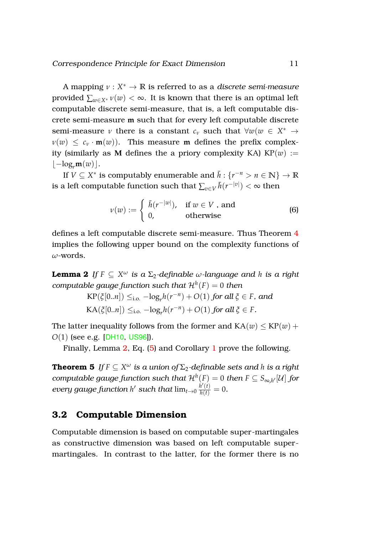A mapping *ν* : *X* <sup>∗</sup> → **R** is referred to as a *discrete semi-measure* provided  $\sum_{w \in X^*} v(w) < \infty$ . It is known that there is an optimal left computable discrete semi-measure, that is, a left computable discrete semi-measure **m** such that for every left computable discrete semi-measure *ν* there is a constant  $c_v$  such that  $\forall w (w \in X^* \rightarrow$  $\nu(w) \leq c_v \cdot m(w)$ . This measure **m** defines the prefix complexity (similarly as **M** defines the a priory complexity KA)  $KP(w) :=$  $\vert -\log_{r} m(w)\vert.$ 

If  $V \subseteq X^*$  is computably enumerable and  $\overline{h}: \{r^{-n} > n \in \mathbb{N}\} \to \mathbb{R}$ is a left computable function such that  $\sum_{v \in V} \bar{h}(r^{-|v|}) < \infty$  then

<span id="page-11-2"></span>
$$
\nu(w) := \begin{cases} \bar{h}(r^{-|w|}), & \text{if } w \in V \text{, and} \\ 0, & \text{otherwise} \end{cases}
$$
(6)

<span id="page-11-1"></span>defines a left computable discrete semi-measure. Thus Theorem [4](#page-10-1) implies the following upper bound on the complexity functions of *ω*-words.

**Lemma 2** *If F* ⊆ *X <sup>ω</sup> is a* Σ2*-definable ω-language and h is a right*  $\mathit{compatible\ gauge\ function\ such\ that\ }\mathcal{H}^{h}(F)=0\ \mathit{then}$ 

$$
KP(\xi[0..n]) \leq_{i.o.} -\log_r h(r^{-n}) + O(1) \text{ for all } \xi \in F, \text{ and}
$$
  

$$
KA(\xi[0..n]) \leq_{i.o.} -\log_r h(r^{-n}) + O(1) \text{ for all } \xi \in F.
$$

The latter inequality follows from the former and  $KA(w) \leq KP(w) +$ *O*(1) (see e.g. [[DH10](#page-14-1), [US96](#page-16-3)]).

Finally, Lemma [2,](#page-11-1) Eq. [\(5\)](#page-8-2) and Corollary [1](#page-8-3) prove the following.

 $\textbf{Theorem 5} \ \textit{If } F \subseteq X^\omega \textit{ is a union of } \Sigma_2\textit{-definable sets and } h \textit{ is a right}$  $p$  *computable gauge function such that*  $\mathcal{H}^h(F) = 0$  *then*  $F \subseteq S_{\infty,h'}[\mathcal{U}]$  *for every gauge function h'* such that  $\lim_{t\to 0} \frac{\dot{h}'(t)}{h(t)} = 0$ .

#### <span id="page-11-0"></span>**3.2 Computable Dimension**

Computable dimension is based on computable super-martingales as constructive dimension was based on left computable supermartingales. In contrast to the latter, for the former there is no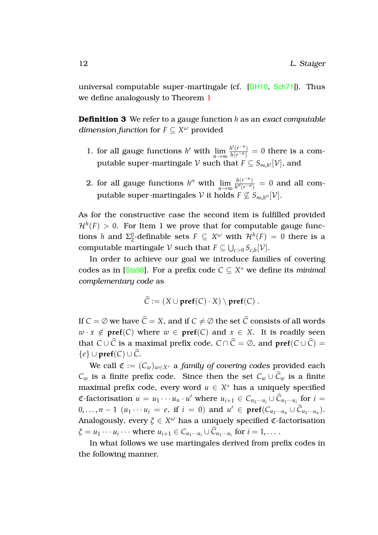universal computable super-martingale (cf. [[DH10](#page-14-1), [Sch71](#page-15-6)]). Thus we define analogously to Theorem [1](#page-7-1)

**Definition 3** We refer to a gauge function *h* as an *exact computable dimension function* for  $F \subseteq X^\omega$  provided

- 1. for all gauge functions *h*' with  $\lim_{n \to \infty} \frac{h'(r^{-n})}{h(r^{-n})} = 0$  there is a computable super-martingale  $\mathcal V$  such that  $F\subseteq S_{\infty,h'}[\mathcal V]$ , and
- 2. for all gauge functions *h*<sup>*n*</sup> with  $\lim_{n\to\infty} \frac{h(r^{-n})}{h''(r^{-n})}$  $\frac{n(r - r)}{h''(r^{-n})} = 0$  and all computable super-martingales  $\mathcal V$  it holds  $F \not\subseteq S_{\infty,h''}[\mathcal V].$

As for the constructive case the second item is fulfilled provided  $\mathcal{H}^h(F)>0.$  For Item 1 we prove that for computable gauge functions *h* and  $\Sigma_2^0$  $^{0}_{2}$ -definable sets *F* ⊆ *X<sup>ω</sup>* with  $H^{h}(F) = 0$  there is a computable martingale  $V$  such that  $F \subseteq \bigcup_{c>0} S_{c,h}[V]$ .

In order to achieve our goal we introduce families of covering codes as in [[Sta98](#page-16-1)]. For a prefix code *C* ⊆ *X* <sup>∗</sup> we define its *minimal complementary code* as

$$
\widehat{C} := (X \cup \mathbf{pref}(C) \cdot X) \setminus \mathbf{pref}(C) .
$$

If  $C = \emptyset$  we have  $\widehat{C} = X$ , and if  $C \neq \emptyset$  the set  $\widehat{C}$  consists of all words  $w \cdot x \notin \text{pref}(C)$  where  $w \in \text{pref}(C)$  and  $x \in X$ . It is readily seen that *C* ∪  $\hat{C}$  is a maximal prefix code,  $C \cap \hat{C} = \emptyset$ , and  $\text{pref}(C \cup \hat{C}) =$  ${e}$  ∪ **pref**(*C*) ∪  $\hat{C}$ .

We call  $\mathfrak{C} := (C_w)_{w \in X^*}$  a *family of covering codes* provided each *C*<sup>*w*</sup> is a finite prefix code. Since then the set  $C_w \cup \hat{C}_w$  is a finite maximal prefix code, every word  $u \in X^*$  has a uniquely specified  $\mathfrak{C}\text{-factorisation } u = u_1 \cdots u_n \cdot u'$  where  $u_{i+1} \in C_{u_1 \cdots u_i} \cup \widehat{C}_{u_1 \cdots u_i}$  for  $i =$ 0,..., *n* − 1 (*u*<sub>1</sub> · · · *u*<sub>*i*</sub> = *e*, if *i* = 0) and  $u' \text{ ∈ **pref**(C_{u_1 \cdots u_n} \cup \widehat{C}_{u_1 \cdots u_n}).$ Analogously, every *ξ* ∈ *X <sup>ω</sup>* has a uniquely specified C-factorisation  $\zeta = u_1 \cdots u_i \cdots$  where  $u_{i+1} \in C_{u_1 \cdots u_i} \cup C_{u_1 \cdots u_i}$  for  $i = 1, \ldots$ .

<span id="page-12-0"></span>In what follows we use martingales derived from prefix codes in the following manner.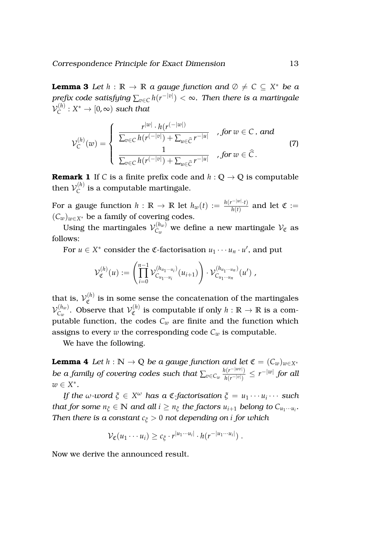**Lemma 3** Let  $h : \mathbb{R} \to \mathbb{R}$  a gauge function and  $\emptyset \neq C \subseteq X^*$  be a *prefix code satisfying* ∑*v*∈*<sup>C</sup> h*(*r* −|*v*| ) < ∞*. Then there is a martingale*  $\mathcal{V}^{(h)}_C$  $C^{(h)}_C: X^* \to [0, \infty)$  *such that* 

<span id="page-13-2"></span>
$$
\mathcal{V}_{\mathcal{C}}^{(h)}(w) = \begin{cases}\n\frac{r^{|w|} \cdot h(r^{(-|w|)})}{\sum_{v \in \mathcal{C}} h(r^{(-|v|)}) + \sum_{u \in \widehat{\mathcal{C}}} r^{-|u|}}, & \text{for } w \in \mathcal{C}, \text{ and} \\
\frac{1}{\sum_{v \in \mathcal{C}} h(r^{(-|v|)}) + \sum_{u \in \widehat{\mathcal{C}}} r^{-|u|}}, & \text{for } w \in \widehat{\mathcal{C}}.\n\end{cases}
$$
\n(7)

**Remark 1** If *C* is a finite prefix code and  $h: \mathbb{Q} \to \mathbb{Q}$  is computable then  $\mathcal{V}_C^{(h)}$  $\mathcal{C}^{(n)}$  is a computable martingale.

For a gauge function  $h$  :  $\mathbb{R} \to \mathbb{R}$  let  $h_w(t) := \frac{h(r^{-|w|} \cdot t)}{h(t)}$  $\frac{h(t)}{h(t)}$  and let  $\mathfrak{C} :=$  $(C_w)_{w \in X^*}$  be a family of covering codes.

Using the martingales  $\mathcal{V}_{C_{\mathrm{m}}}^{(h_w)}$  $C_w^{(n_w)}$  we define a new martingale  $\mathcal{V}_{\mathfrak{C}}$  as follows:

For  $u \in X^*$  consider the  $\mathfrak{C}\text{-}factorisation$   $u_1 \cdots u_n \cdot u'$ , and put

$$
\mathcal{V}_{\mathfrak{C}}^{(h)}(u) := \left( \prod_{i=0}^{n-1} \mathcal{V}_{C_{u_1 \cdots u_i}}^{(h_{u_1 \cdots u_i})} (u_{i+1}) \right) \cdot \mathcal{V}_{C_{u_1 \cdots u_n}}^{(h_{u_1 \cdots u_n})} (u') ,
$$

that is,  $\mathcal{V}^{(h)}_{\sigma}$  $\mathfrak{C}^{(n)}$  is in some sense the concatenation of the martingales  $\mathcal{V}_{C_{\text{max}}}^{(h_w)}$  $C_w^{(h_w)}$ . Observe that  $\mathcal{V}_{\mathfrak{C}}^{(h)}$  $\mathcal{C}^{(n)}$  is computable if only  $h : \mathbb{R} \to \mathbb{R}$  is a computable function, the codes  $C_w$  are finite and the function which assigns to every *w* the corresponding code  $C_w$  is computable.

<span id="page-13-0"></span>We have the following.

**Lemma 4** *Let*  $h : \mathbb{N} \to \mathbb{Q}$  *be a gauge function and let*  $\mathfrak{C} = (C_w)_{w \in X^*}$ *be a family of covering codes such that*  $\sum_{v \in C_w} \frac{h(r^{-|w v|})}{h(r^{-|v|})}$ *h*(*r*−|*v*<sup>|</sup> ) ≤ *r* −|*w*| *for all w* ∈ *X* ∗ *.*

*If the ω-word ξ* ∈ *X <sup>ω</sup> has a* C*-factorisation ξ* = *u*<sup>1</sup> · · · *u<sup>i</sup>* · · · *such that for some*  $n_{\xi} \in \mathbb{N}$  *and all*  $i \geq n_{\xi}$  *the factors*  $u_{i+1}$  *belong to*  $C_{u_1 \cdots u_i}$ *. Then there is a constant c<sup>ξ</sup>* > 0 *not depending on i for which*

<span id="page-13-1"></span>
$$
\mathcal{V}_{\mathfrak{C}}(u_1\cdots u_i)\geq c_{\xi}\cdot r^{|u_1\cdots u_i|}\cdot h(r^{-|u_1\cdots u_i|})\;.
$$

Now we derive the announced result.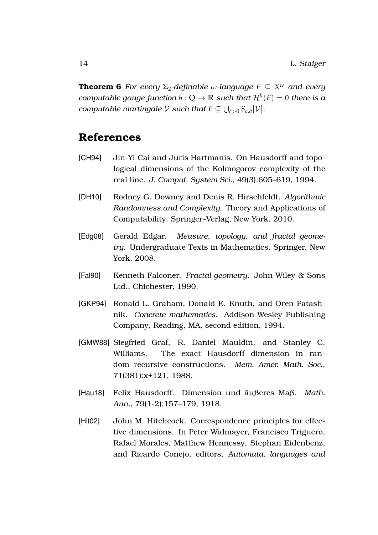**Theorem 6** For every  $\Sigma_2$ -definable  $\omega$ -language  $F \subseteq X^\omega$  and every *computable gauge function*  $h: \mathbb{Q} \to \mathbb{R}$  such that  $\mathcal{H}^h(F) = 0$  there is a *computable martingale*  $V$  *such that*  $F \subseteq \bigcup_{c>0} S_{c,h}[V]$ *.* 

# **References**

- <span id="page-14-4"></span>[CH94] Jin-Yi Cai and Juris Hartmanis. On Hausdorff and topological dimensions of the Kolmogorov complexity of the real line. *J. Comput. System Sci.*, 49(3):605–619, 1994.
- <span id="page-14-1"></span>[DH10] Rodney G. Downey and Denis R. Hirschfeldt. *Algorithmic Randomness and Complexity*. Theory and Applications of Computability. Springer-Verlag, New York, 2010.
- <span id="page-14-5"></span>[Edg08] Gerald Edgar. *Measure, topology, and fractal geometry*. Undergraduate Texts in Mathematics. Springer, New York, 2008.
- <span id="page-14-6"></span>[Fal90] Kenneth Falconer. *Fractal geometry*. John Wiley & Sons Ltd., Chichester, 1990.
- <span id="page-14-7"></span>[GKP94] Ronald L. Graham, Donald E. Knuth, and Oren Patashnik. *Concrete mathematics*. Addison-Wesley Publishing Company, Reading, MA, second edition, 1994.
- <span id="page-14-2"></span>[GMW88] Siegfried Graf, R. Daniel Mauldin, and Stanley C. Williams. The exact Hausdorff dimension in random recursive constructions. *Mem. Amer. Math. Soc.*, 71(381):x+121, 1988.
- <span id="page-14-3"></span>[Hau18] Felix Hausdorff. Dimension und äußeres Maß. Math. *Ann.*, 79(1-2):157–179, 1918.
- <span id="page-14-0"></span>[Hit02] John M. Hitchcock. Correspondence principles for effective dimensions. In Peter Widmayer, Francisco Triguero, Rafael Morales, Matthew Hennessy, Stephan Eidenbenz, and Ricardo Conejo, editors, *Automata, languages and*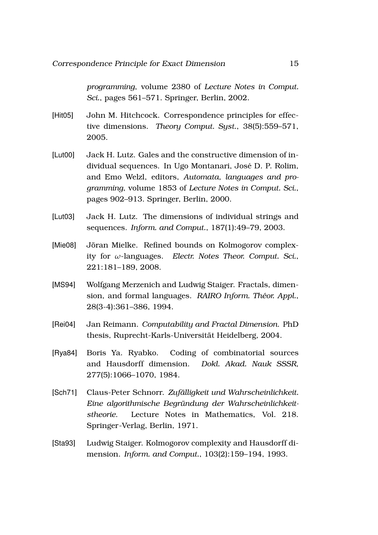*programming*, volume 2380 of *Lecture Notes in Comput. Sci.*, pages 561–571. Springer, Berlin, 2002.

- <span id="page-15-2"></span>[Hit05] John M. Hitchcock. Correspondence principles for effective dimensions. *Theory Comput. Syst.*, 38(5):559–571, 2005.
- <span id="page-15-0"></span>[Lut00] Jack H. Lutz. Gales and the constructive dimension of individual sequences. In Ugo Montanari, Jose D. P. Rolim, ´ and Emo Welzl, editors, *Automata, languages and programming*, volume 1853 of *Lecture Notes in Comput. Sci.*, pages 902–913. Springer, Berlin, 2000.
- <span id="page-15-1"></span>[Lut03] Jack H. Lutz. The dimensions of individual strings and sequences. *Inform. and Comput.*, 187(1):49–79, 2003.
- <span id="page-15-7"></span>[Mie08] Jöran Mielke. Refined bounds on Kolmogorov complexity for *ω*-languages. *Electr. Notes Theor. Comput. Sci.*, 221:181–189, 2008.
- <span id="page-15-4"></span>[MS94] Wolfgang Merzenich and Ludwig Staiger. Fractals, dimension, and formal languages. *RAIRO Inform. Theor. Appl. ´* , 28(3-4):361–386, 1994.
- <span id="page-15-8"></span>[Rei04] Jan Reimann. *Computability and Fractal Dimension*. PhD thesis, Ruprecht-Karls-Universität Heidelberg, 2004.
- <span id="page-15-5"></span>[Rya84] Boris Ya. Ryabko. Coding of combinatorial sources and Hausdorff dimension. *Dokl. Akad. Nauk SSSR*, 277(5):1066–1070, 1984.
- <span id="page-15-6"></span>[Sch71] Claus-Peter Schnorr. *Zufalligkeit und Wahrscheinlichkeit. ¨ Eine algorithmische Begrundung der Wahrscheinlichkeit- ¨ stheorie*. Lecture Notes in Mathematics, Vol. 218. Springer-Verlag, Berlin, 1971.
- <span id="page-15-3"></span>[Sta93] Ludwig Staiger. Kolmogorov complexity and Hausdorff dimension. *Inform. and Comput.*, 103(2):159–194, 1993.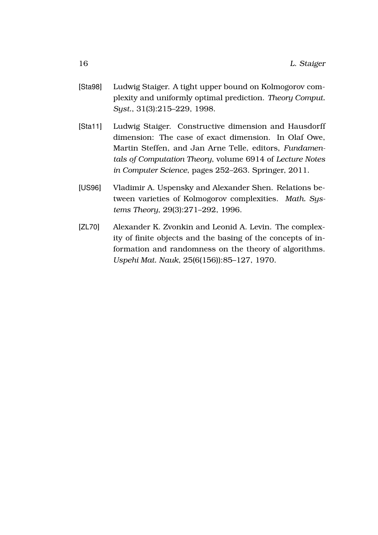- <span id="page-16-1"></span>[Sta98] Ludwig Staiger. A tight upper bound on Kolmogorov complexity and uniformly optimal prediction. *Theory Comput. Syst.*, 31(3):215–229, 1998.
- <span id="page-16-0"></span>[Sta11] Ludwig Staiger. Constructive dimension and Hausdorff dimension: The case of exact dimension. In Olaf Owe, Martin Steffen, and Jan Arne Telle, editors, *Fundamentals of Computation Theory*, volume 6914 of *Lecture Notes in Computer Science*, pages 252–263. Springer, 2011.
- <span id="page-16-3"></span>[US96] Vladimir A. Uspensky and Alexander Shen. Relations between varieties of Kolmogorov complexities. *Math. Systems Theory*, 29(3):271–292, 1996.
- <span id="page-16-2"></span>[ZL70] Alexander K. Zvonkin and Leonid A. Levin. The complexity of finite objects and the basing of the concepts of information and randomness on the theory of algorithms. *Uspehi Mat. Nauk*, 25(6(156)):85–127, 1970.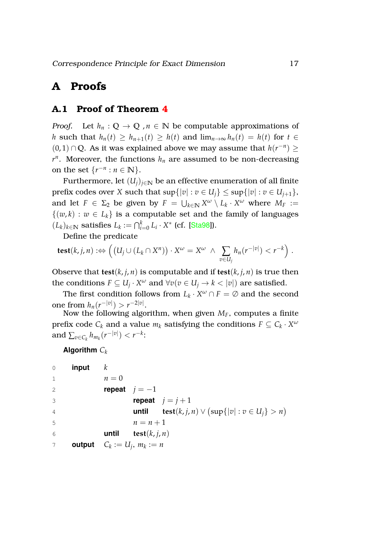# <span id="page-17-0"></span>**A Proofs**

## <span id="page-17-1"></span>**A.1 Proof of Theorem [4](#page-10-1)**

*Proof.* Let  $h_n: \mathbb{Q} \to \mathbb{Q}$ ,  $n \in \mathbb{N}$  be computable approximations of *h* such that  $h_n(t) \geq h_{n+1}(t) \geq h(t)$  and  $\lim_{n\to\infty} h_n(t) = h(t)$  for  $t \in$ (0, 1) ∩ **Q**. As it was explained above we may assume that  $h(r^{-n})$  ≥  $r^n$ . Moreover, the functions  $h_n$  are assumed to be non-decreasing on the set  $\{r^{-n} : n \in \mathbb{N}\}.$ 

Furthermore, let  $(U_i)_{i\in\mathbb{N}}$  be an effective enumeration of all finite prefix codes over *X* such that  $\sup\{|v| : v \in U_i\} \leq \sup\{|v| : v \in U_{i+1}\},$ and let  $F \in \Sigma_2$  be given by  $F = \bigcup_{k \in \mathbb{N}} X^{\omega} \setminus L_k \cdot X^{\omega}$  where  $M_F :=$  $\{(w, k) : w \in L_k\}$  is a computable set and the family of languages  $(L_k)_{k \in \mathbb{N}}$  satisfies  $L_k := \bigcap_{i=0}^k L_i \cdot X^*$  (cf. [[Sta98](#page-16-1)]).

Define the predicate

$$
\textbf{test}(k,j,n) :\Leftrightarrow \left( (U_j \cup (L_k \cap X^n)) \cdot X^\omega = X^\omega \ \wedge \ \sum_{v \in U_j} h_n(r^{-|v|}) < r^{-k} \right) .
$$

Observe that **test**( $k$ ,  $j$ ,  $n$ ) is computable and if **test**( $k$ ,  $j$ ,  $n$ ) is true then the conditions  $F \subseteq U_j \cdot X^\omega$  and  $\forall v(v \in U_j \rightarrow k < |v|)$  are satisfied.

The first condition follows from  $L_k \cdot X^\omega \cap F = \emptyset$  and the second one from  $h_n(r^{-|v|}) > r^{-2|v|}$ .

Now the following algorithm, when given *MF*, computes a finite prefix code  $C_k$  and a value  $m_k$  satisfying the conditions  $F \subseteq C_k \cdot X^\omega$ and  $\sum_{v \in C_k} h_{m_k}(r^{-|v|}) < r^{-k}$ :

**Algorithm** *C<sup>k</sup>*

```
0 input k
1 n=02 repeat j = -13 repeat j = j + 14 until test(k, j, n) \vee (sup{|v| : v \in U_j} > n)
5 n = n + 16 until test(k, j, n)
7 output Ck
          := U_j, m_k := n
```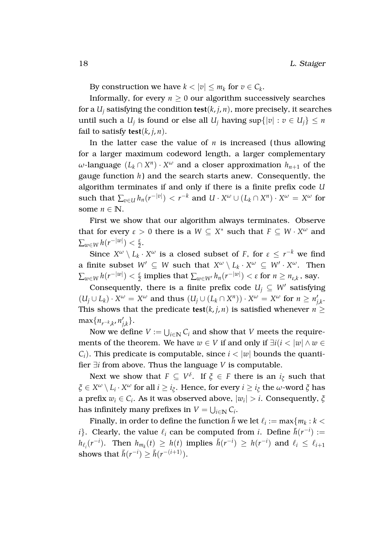By construction we have  $k < |v| \le m_k$  for  $v \in C_k$ .

Informally, for every  $n \geq 0$  our algorithm successively searches for a  $U_i$  satisfying the condition  $test(k, j, n)$ , more precisely, it searches until such a  $U_j$  is found or else all  $U_j$  having  $\sup\{|v| : v \in U_j\} \le n$ fail to satisfy **test**( $k$ ,  $j$ ,  $n$ ).

In the latter case the value of *n* is increased ( thus allowing for a larger maximum codeword length, a larger complementary  $\omega$ -language  $(L_k \cap X^n) \cdot X^\omega$  and a closer approximation  $h_{n+1}$  of the gauge function  $h$ ) and the search starts anew. Consequently, the algorithm terminates if and only if there is a finite prefix code *U*  $\mathbf{S}$  such that  $\sum_{v \in U} h_n(r^{-|v|}) < r^{-k}$  and  $U \cdot X^{\omega} \cup (L_k \cap X^n) \cdot X^{\omega} = X^{\omega}$  for some  $n \in \mathbb{N}$ .

First we show that our algorithm always terminates. Observe that for every  $\varepsilon > 0$  there is a  $W \subseteq X^*$  such that  $F \subseteq W \cdot X^{\omega}$  and  $\sum_{w\in W} h(r^{-|w|}) < \frac{\varepsilon}{2}.$ 

Since  $X^{\omega} \setminus L_k \cdot X^{\omega}$  is a closed subset of *F*, for  $\varepsilon \leq r^{-k}$  we find a finite subset  $W' \subseteq W$  such that  $X^{\omega} \setminus L_k \cdot X^{\omega} \subseteq W' \cdot X^{\omega}$ . Then  $\sum_{w \in W} h(r^{-|w|}) < \frac{\varepsilon}{2}$  implies that  $\sum_{w \in W'} h_n(r^{-|w|}) < \varepsilon$  for  $n \geq n_{\varepsilon,k}$  , say.

Consequently, there is a finite prefix code  $U_j \subseteq W'$  satisfying  $(U_j \cup L_k) \cdot X^\omega = X^\omega$  and thus  $(U_j \cup (L_k \cap X^n)) \cdot X^\omega = X^\omega$  for  $n \ge n_j$ *j*,*k* . This shows that the predicate **test**( $k$ , *j*, *n*) is satisfied whenever *n* >  $\max\{n_{r-k,k}, n'_p\}$ *j*,*k* }.

Now we define  $V := \bigcup_{i \in \mathbb{N}} C_i$  and show that  $V$  meets the requirements of the theorem. We have  $w \in V$  if and only if  $\exists i (i < |w| \land w \in V)$ *C*<sub>*i*</sub>). This predicate is computable, since  $i < |w|$  bounds the quantifier ∃*i* from above. Thus the language *V* is computable.

Next we show that  $F \subseteq V^{\delta}$ . If  $\xi \in F$  there is an  $i_{\xi}$  such that  $\zeta \in X^\omega \setminus L_i\cdot X^\omega$  for all  $i\geq i_\zeta$ . Hence, for every  $i\geq i_\zeta$  the  $\omega$ -word  $\zeta$  has a prefix  $w_i \in C_i$ . As it was observed above,  $|w_i| > i$ . Consequently,  $\xi$ has infinitely many prefixes in  $V = \bigcup_{i \in \mathbb{N}} C_i$ .

Finally, in order to define the function  $\bar{h}$  we let  $\ell_i := \max\{m_k : k < \ell\}$ *i*}. Clearly, the value  $\ell_i$  can be computed from *i*. Define  $\bar{h}(r^{-i}) :=$  $h_{\ell_i}(r^{-i})$ . Then  $h_{m_k}(t) \geq h(t)$  implies  $\bar{h}(r^{-i}) \geq h(r^{-i})$  and  $\ell_i \leq \ell_{i+1}$ shows that  $\bar{h}(r^{-i}) \geq \bar{h}(r^{-(i+1)})$ .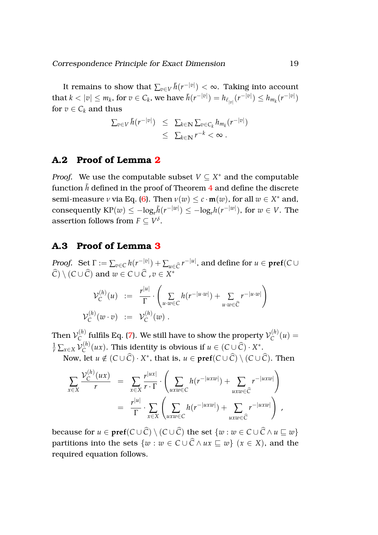It remains to show that  $\sum_{v \in V} \bar{h}(r^{-|v|}) < \infty.$  Taking into account  $\text{that } k < |v| \leq m_k \text{, for } v \in C_k \text{, we have } \bar{h}(r^{-|v|}) = h_{\ell_{|v|}}(r^{-|v|}) \leq h_{m_k}(r^{-|v|})$ for  $v \in C_k$  and thus

$$
\sum_{v \in V} \bar{h}(r^{-|v|}) \leq \sum_{k \in \mathbb{N}} \sum_{v \in C_k} h_{m_k}(r^{-|v|})
$$
  

$$
\leq \sum_{k \in \mathbb{N}} r^{-k} < \infty.
$$

### <span id="page-19-0"></span>**A.2 Proof of Lemma [2](#page-11-1)**

*Proof.* We use the computable subset  $V \subseteq X^*$  and the computable function  $\bar{h}$  defined in the proof of Theorem [4](#page-10-1) and define the discrete semi-measure *ν* via Eq. [\(6\)](#page-11-2). Then  $\nu(w) \leq c \cdot m(w)$ , for all  $w \in X^*$  and,  $\text{consequently } \text{KP}(w) \le -\log_r \bar{h}(r^{-|w|}) \le -\log_r h(r^{-|w|}), \text{ for } w \in V. \text{ The } \Omega.$ assertion follows from  $F \subseteq V^{\delta}$ .

#### <span id="page-19-1"></span>**A.3 Proof of Lemma [3](#page-12-0)**

*Proof.* Set  $\Gamma := \sum_{v \in C} h(r^{-|v|}) + \sum_{u \in \widehat{C}} r^{-|u|}$ , and define for  $u \in \textbf{pref}(C \cup \widehat{C})$  $\widehat{C}$ ) \ (*C* ∪  $\widehat{C}$ ) and  $w \in C \cup \widehat{C}$  ,  $v \in X^*$ 

$$
\mathcal{V}_C^{(h)}(u) := \frac{r^{|u|}}{\Gamma} \cdot \left( \sum_{u \cdot w \in C} h(r^{-|u \cdot w|}) + \sum_{u \cdot w \in \widehat{C}} r^{-|u \cdot w|} \right)
$$
  

$$
\mathcal{V}_C^{(h)}(w \cdot v) := \mathcal{V}_C^{(h)}(w) .
$$

Then  $\mathcal{V}_C^{(h)}$  $C^{(h)}_{C}$  fulfils Eq. [\(7\)](#page-13-2). We still have to show the property  $\mathcal{V}^{(h)}_{C}$  $C^{(n)}(u) =$  $\frac{1}{r}\sum_{x\in X}\mathcal{V}_\mathcal{C}^{(h)}$  $C^{(h)}_{C}(ux)$ . This identity is obvious if  $u \in (C \cup \widehat{C}) \cdot X^*$ .

Now, let  $u \notin (C \cup \widehat{C}) \cdot X^*$ , that is,  $u \in \textbf{pref}(C \cup \widehat{C}) \setminus (C \cup \widehat{C})$ . Then

$$
\sum_{x \in X} \frac{\mathcal{V}_{C}^{(h)}(ux)}{r} = \sum_{x \in X} \frac{r^{|ux|}}{r \cdot \Gamma} \cdot \left( \sum_{uxw \in C} h(r^{-|uxw|}) + \sum_{uxw \in \widehat{C}} r^{-|uxw|} \right)
$$

$$
= \frac{r^{|u|}}{\Gamma} \cdot \sum_{x \in X} \left( \sum_{uxw \in C} h(r^{-|uxw|}) + \sum_{uxw \in \widehat{C}} r^{-|uxw|} \right),
$$

because for  $u \in \text{pref}(C \cup \widehat{C}) \setminus (C \cup \widehat{C})$  the set  $\{w : w \in C \cup \widehat{C} \wedge u \sqsubset w\}$ partitions into the sets  $\{w : w \in C \cup \widehat{C} \wedge ux \sqsubseteq w\}$  ( $x \in X$ ), and the required equation follows.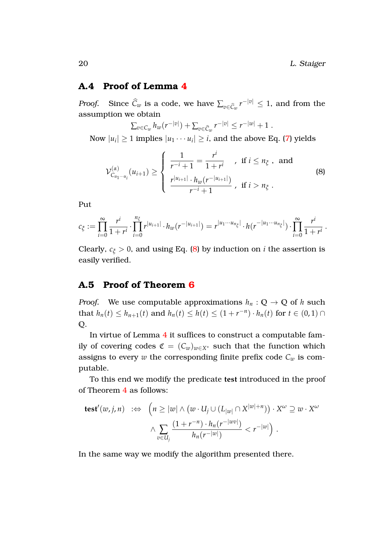#### <span id="page-20-0"></span>**A.4 Proof of Lemma [4](#page-13-0)**

*Proof.* Since  $\widehat{C}_w$  is a code, we have  $\sum_{v \in \widehat{C}_w} r^{-|v|} \leq 1$ , and from the assumption we obtain

 $\sum_{v \in C_w} h_w(r^{-|v|}) + \sum_{v \in \widehat{C}_w} r^{-|v|} \leq r^{-|w|} + 1$ . Now  $|u_i|\geq 1$  implies  $|u_1\cdots u_i|\geq i,$  and the above Eq. [\(7\)](#page-13-2) yields

<span id="page-20-2"></span>
$$
\mathcal{V}_{C_{u_1\cdots u_i}}^{(\alpha)}(u_{i+1}) \geq \begin{cases} \frac{1}{r^{-i}+1} = \frac{r^i}{1+r^i} & , \text{ if } i \leq n_{\xi}, \text{ and} \\ \frac{r^{|u_{i+1}|} \cdot h_w(r^{-|u_{i+1}|})}{r^{-i}+1} & , \text{ if } i > n_{\xi}. \end{cases}
$$
(8)

Put

$$
c_{\xi} := \prod_{i=0}^{\infty} \frac{r^i}{1+r^i} \cdot \prod_{i=0}^{n_{\xi}} r^{|u_{i+1}|} \cdot h_w(r^{-|u_{i+1}|}) = r^{|u_1 \cdots u_{n_{\xi}}|} \cdot h(r^{-|u_1 \cdots u_{n_{\xi}}|}) \cdot \prod_{i=0}^{\infty} \frac{r^i}{1+r^i}.
$$

Clearly,  $c_{\xi} > 0$ , and using Eq. [\(8\)](#page-20-2) by induction on *i* the assertion is easily verified.

#### <span id="page-20-1"></span>**A.5 Proof of Theorem [6](#page-13-1)**

*Proof.* We use computable approximations  $h_n$ :  $\mathbb{Q} \to \mathbb{Q}$  of *h* such that *h<sub>n</sub>*(*t*) ≤ *h<sub>n+1</sub>*(*t*) and *h<sub>n</sub>*(*t*) ≤ *h*(*t*) ≤ (1 + *r*<sup>-*n*</sup>) · *h<sub>n</sub>*(*t*) for *t* ∈ (0, 1) ∩ **Q**.

In virtue of Lemma [4](#page-13-0) it suffices to construct a computable family of covering codes  $\mathfrak{C} = (C_w)_{w \in X^*}$  such that the function which assigns to every  $w$  the corresponding finite prefix code  $C_w$  is computable.

To this end we modify the predicate **test** introduced in the proof of Theorem [4](#page-10-1) as follows:

$$
\begin{array}{rcl}\n\textbf{test}'(w,j,n) & \Rightarrow & \left(n \ge |w| \land (w \cdot U_j \cup (L_{|w|} \cap X^{|w|+n})) \cdot X^{\omega} \supseteq w \cdot X^{\omega} \\
& \land \sum_{v \in U_j} \frac{(1+r^{-n}) \cdot h_n(r^{-|w|})}{h_n(r^{-|w|})} < r^{-|w|}\n\end{array}
$$

In the same way we modify the algorithm presented there.